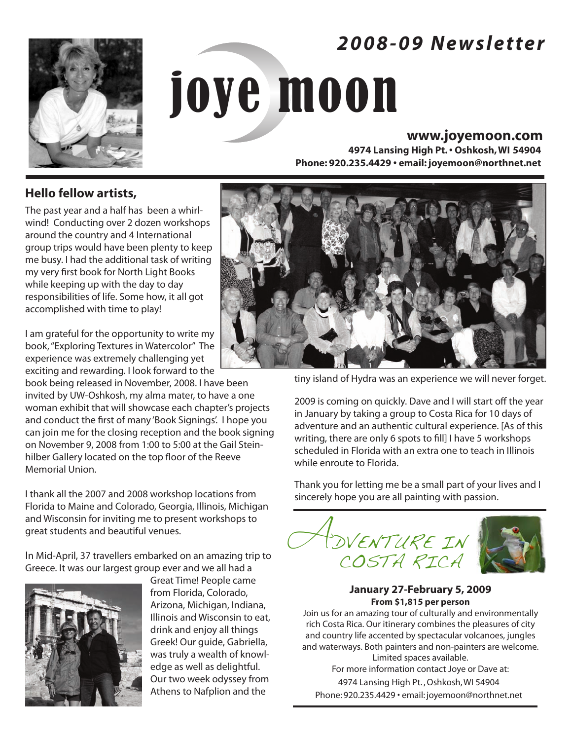# *2 0 0 8 - 0 9 N e w s l e t t e r*



# joye moon

# **www.joyemoon.com**

**4974 Lansing High Pt. • Oshkosh, WI 54904 Phone: 920.235.4429 • email: joyemoon@northnet.net**

**Hello fellow artists,**

The past year and a half has been a whirlwind! Conducting over 2 dozen workshops around the country and 4 International group trips would have been plenty to keep me busy. I had the additional task of writing my very first book for North Light Books while keeping up with the day to day responsibilities of life. Some how, it all got accomplished with time to play!

I am grateful for the opportunity to write my book, "Exploring Textures in Watercolor" The experience was extremely challenging yet exciting and rewarding. I look forward to the

book being released in November, 2008. I have been invited by UW-Oshkosh, my alma mater, to have a one woman exhibit that will showcase each chapter's projects and conduct the first of many 'Book Signings'. I hope you can join me for the closing reception and the book signing on November 9, 2008 from 1:00 to 5:00 at the Gail Steinhilber Gallery located on the top floor of the Reeve Memorial Union.

I thank all the 2007 and 2008 workshop locations from Florida to Maine and Colorado, Georgia, Illinois, Michigan and Wisconsin for inviting me to present workshops to great students and beautiful venues.

In Mid-April, 37 travellers embarked on an amazing trip to Greece. It was our largest group ever and we all had a



Great Time! People came from Florida, Colorado, Arizona, Michigan, Indiana, Illinois and Wisconsin to eat, drink and enjoy all things Greek! Our guide, Gabriella, was truly a wealth of knowledge as well as delightful. Our two week odyssey from Athens to Nafplion and the



tiny island of Hydra was an experience we will never forget.

2009 is coming on quickly. Dave and I will start off the year in January by taking a group to Costa Rica for 10 days of adventure and an authentic cultural experience. [As of this writing, there are only 6 spots to fill] I have 5 workshops scheduled in Florida with an extra one to teach in Illinois while enroute to Florida.

Thank you for letting me be a small part of your lives and I sincerely hope you are all painting with passion.



# **January 27-February 5, 2009 From \$1,815 per person**

Join us for an amazing tour of culturally and environmentally rich Costa Rica. Our itinerary combines the pleasures of city and country life accented by spectacular volcanoes, jungles and waterways. Both painters and non-painters are welcome. Limited spaces available.

For more information contact Joye or Dave at: 4974 Lansing High Pt. , Oshkosh, WI 54904 Phone: 920.235.4429 • email: joyemoon@northnet.net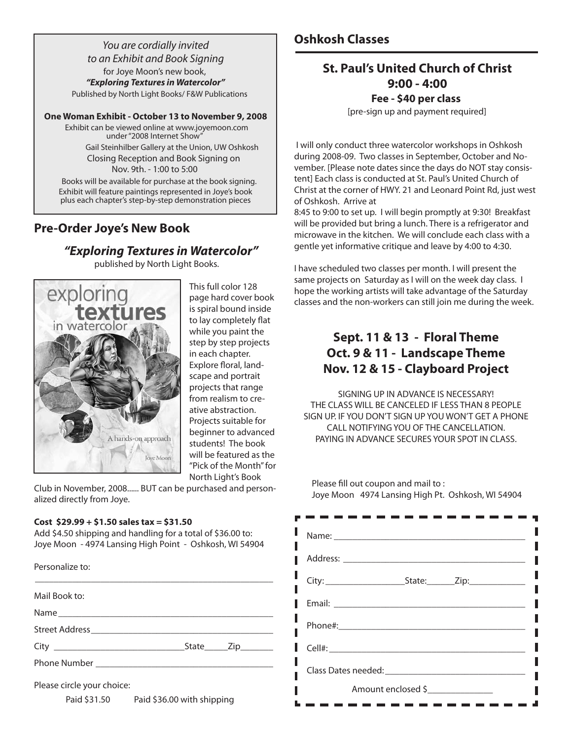*You are cordially invited to an Exhibit and Book Signing* for Joye Moon's new book, *"Exploring Textures in Watercolor"* Published by North Light Books/ F&W Publications

## **One Woman Exhibit - October 13 to November 9, 2008**

Exhibit can be viewed online at www.joyemoon.com under "2008 Internet Show"

> Gail Steinhilber Gallery at the Union, UW Oshkosh Closing Reception and Book Signing on Nov. 9th. - 1:00 to 5:00

Books will be available for purchase at the book signing. Exhibit will feature paintings represented in Joye's book plus each chapter's step-by-step demonstration pieces

# **Pre-Order Joye's New Book**

# *"Exploring Textures in Watercolor"*

published by North Light Books.



This full color 128 page hard cover book is spiral bound inside to lay completely flat while you paint the step by step projects in each chapter. Explore floral, landscape and portrait projects that range from realism to creative abstraction. Projects suitable for beginner to advanced students! The book will be featured as the "Pick of the Month" for North Light's Book

Club in November, 2008...... BUT can be purchased and personalized directly from Joye.

# **Cost \$29.99 + \$1.50 sales tax = \$31.50**

Add \$4.50 shipping and handling for a total of \$36.00 to: Joye Moon - 4974 Lansing High Point - Oshkosh, WI 54904

| . כופט ומחובכ נט.          |  |
|----------------------------|--|
| Mail Book to:              |  |
|                            |  |
|                            |  |
|                            |  |
|                            |  |
| Please circle your choice: |  |

Personalize to:

Paid \$31.50 Paid \$36.00 with shipping

# **St. Paul's United Church of Christ 9:00 - 4:00 Fee - \$40 per class**

[pre-sign up and payment required]

I will only conduct three watercolor workshops in Oshkosh during 2008-09. Two classes in September, October and November. [Please note dates since the days do NOT stay consistent] Each class is conducted at St. Paul's United Church of Christ at the corner of HWY. 21 and Leonard Point Rd, just west of Oshkosh. Arrive at

8:45 to 9:00 to set up. I will begin promptly at 9:30! Breakfast will be provided but bring a lunch. There is a refrigerator and microwave in the kitchen. We will conclude each class with a gentle yet informative critique and leave by 4:00 to 4:30.

I have scheduled two classes per month. I will present the same projects on Saturday as I will on the week day class. I hope the working artists will take advantage of the Saturday classes and the non-workers can still join me during the week.

# **Sept. 11 & 13 - Floral Theme Oct. 9 & 11 - Landscape Theme Nov. 12 & 15 - Clayboard Project**

SIGNING UP IN ADVANCE IS NECESSARY! THE CLASS WILL BE CANCELED IF LESS THAN 8 PEOPLE SIGN UP. IF YOU DON'T SIGN UP YOU WON'T GET A PHONE CALL NOTIFYING YOU OF THE CANCELLATION. PAYING IN ADVANCE SECURES YOUR SPOT IN CLASS.

Please fill out coupon and mail to : Joye Moon 4974 Lansing High Pt. Oshkosh, WI 54904

| <b>Email: ________________________</b> |
|----------------------------------------|
| I                                      |
|                                        |
|                                        |
| Amount enclosed \$                     |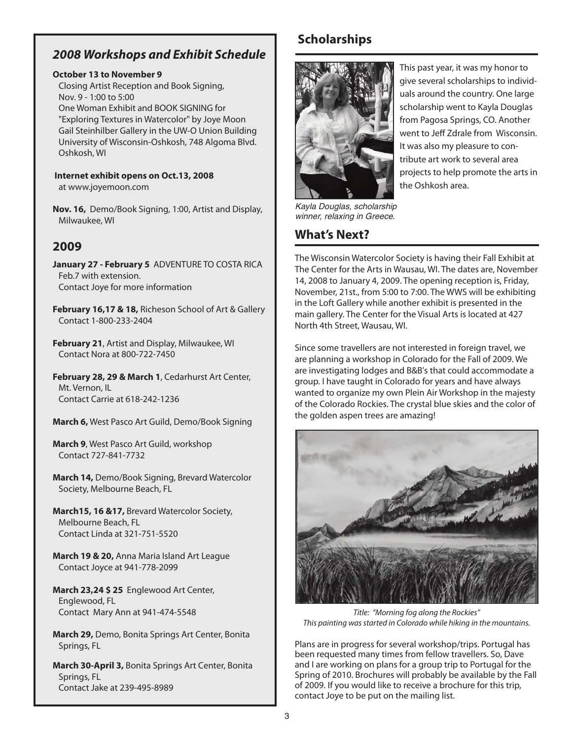# *2008 Workshops and Exhibit Schedule*

# **October 13 to November 9**

Closing Artist Reception and Book Signing, Nov. 9 - 1:00 to 5:00 One Woman Exhibit and BOOK SIGNING for "Exploring Textures in Watercolor" by Joye Moon Gail Steinhilber Gallery in the UW-O Union Building University of Wisconsin-Oshkosh, 748 Algoma Blvd. Oshkosh, WI

**Internet exhibit opens on Oct.13, 2008** at www.joyemoon.com

**Nov. 16,** Demo/Book Signing, 1:00, Artist and Display, Milwaukee, WI

# **2009**

**January 27 - February 5** ADVENTURE TO COSTA RICA Feb.7 with extension. Contact Joye for more information

**February 16,17 & 18,** Richeson School of Art & Gallery Contact 1-800-233-2404

**February 21**, Artist and Display, Milwaukee, WI Contact Nora at 800-722-7450

**February 28, 29 & March 1**, Cedarhurst Art Center, Mt. Vernon, IL Contact Carrie at 618-242-1236

**March 6,** West Pasco Art Guild, Demo/Book Signing

**March 9**, West Pasco Art Guild, workshop Contact 727-841-7732

**March 14,** Demo/Book Signing, Brevard Watercolor Society, Melbourne Beach, FL

**March15, 16 &17,** Brevard Watercolor Society, Melbourne Beach, FL Contact Linda at 321-751-5520

**March 19 & 20,** Anna Maria Island Art League Contact Joyce at 941-778-2099

**March 23,24 \$ 25** Englewood Art Center, Englewood, FL Contact Mary Ann at 941-474-5548

**March 29,** Demo, Bonita Springs Art Center, Bonita Springs, FL

**March 30-April 3,** Bonita Springs Art Center, Bonita Springs, FL Contact Jake at 239-495-8989

# **Scholarships**



This past year, it was my honor to give several scholarships to individuals around the country. One large scholarship went to Kayla Douglas from Pagosa Springs, CO. Another went to Jeff Zdrale from Wisconsin. It was also my pleasure to contribute art work to several area projects to help promote the arts in the Oshkosh area.

*Kayla Douglas, scholarship winner, relaxing in Greece.*

# **What's Next?**

The Wisconsin Watercolor Society is having their Fall Exhibit at The Center for the Arts in Wausau, WI. The dates are, November 14, 2008 to January 4, 2009. The opening reception is, Friday, November, 21st., from 5:00 to 7:00. The WWS will be exhibiting in the Loft Gallery while another exhibit is presented in the main gallery. The Center for the Visual Arts is located at 427 North 4th Street, Wausau, WI.

Since some travellers are not interested in foreign travel, we are planning a workshop in Colorado for the Fall of 2009. We are investigating lodges and B&B's that could accommodate a group. I have taught in Colorado for years and have always wanted to organize my own Plein Air Workshop in the majesty of the Colorado Rockies. The crystal blue skies and the color of the golden aspen trees are amazing!



*Title: "Morning fog along the Rockies" This painting was started in Colorado while hiking in the mountains.*

Plans are in progress for several workshop/trips. Portugal has been requested many times from fellow travellers. So, Dave and I are working on plans for a group trip to Portugal for the Spring of 2010. Brochures will probably be available by the Fall of 2009. If you would like to receive a brochure for this trip, contact Joye to be put on the mailing list.